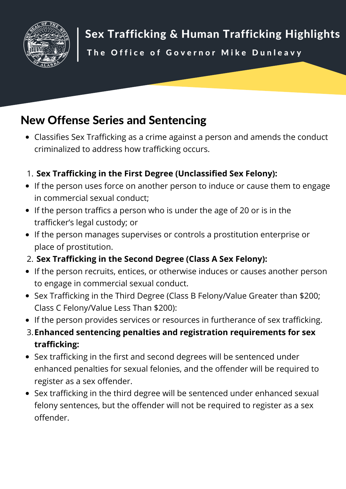

Sex Trafficking & Human Trafficking Highlights

The Office of Governor Mike Dunleavy

# New Offense Series and Sentencing

Classifies Sex Trafficking as a crime against a person and amends the conduct criminalized to address how trafficking occurs.

#### **Sex Trafficking in the First Degree (Unclassified Sex Felony):** 1.

- If the person uses force on another person to induce or cause them to engage in commercial sexual conduct;
- If the person traffics a person who is under the age of 20 or is in the trafficker's legal custody; or
- If the person manages supervises or controls a prostitution enterprise or place of prostitution.
- **Sex Trafficking in the Second Degree (Class A Sex Felony):** 2.
- If the person recruits, entices, or otherwise induces or causes another person to engage in commercial sexual conduct.
- Sex Trafficking in the Third Degree (Class B Felony/Value Greater than \$200; Class C Felony/Value Less Than \$200):
- If the person provides services or resources in furtherance of sex trafficking.
- **Enhanced sentencing penalties and registration requirements for sex** 3.**trafficking:**
- Sex trafficking in the first and second degrees will be sentenced under enhanced penalties for sexual felonies, and the offender will be required to register as a sex offender.
- Sex trafficking in the third degree will be sentenced under enhanced sexual felony sentences, but the offender will not be required to register as a sex offender.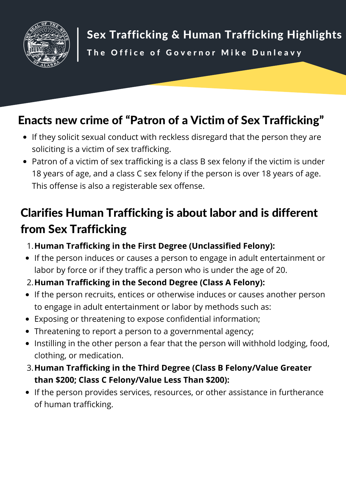

# Enacts new crime of "Patron of a Victim of Sex Trafficking"

- If they solicit sexual conduct with reckless disregard that the person they are soliciting is a victim of sex trafficking.
- Patron of a victim of sex trafficking is a class B sex felony if the victim is under 18 years of age, and a class C sex felony if the person is over 18 years of age. This offense is also a registerable sex offense.

# Clarifies Human Trafficking is about labor and is different from Sex Trafficking

- **Human Trafficking in the First Degree (Unclassified Felony):** 1.
- If the person induces or causes a person to engage in adult entertainment or labor by force or if they traffic a person who is under the age of 20.
- **Human Trafficking in the Second Degree (Class A Felony):** 2.
- If the person recruits, entices or otherwise induces or causes another person to engage in adult entertainment or labor by methods such as:
- Exposing or threatening to expose confidential information;
- Threatening to report a person to a governmental agency;
- Instilling in the other person a fear that the person will withhold lodging, food, clothing, or medication.
- **Human Trafficking in the Third Degree (Class B Felony/Value Greater** 3.**than \$200; Class C Felony/Value Less Than \$200):**
- If the person provides services, resources, or other assistance in furtherance of human trafficking.